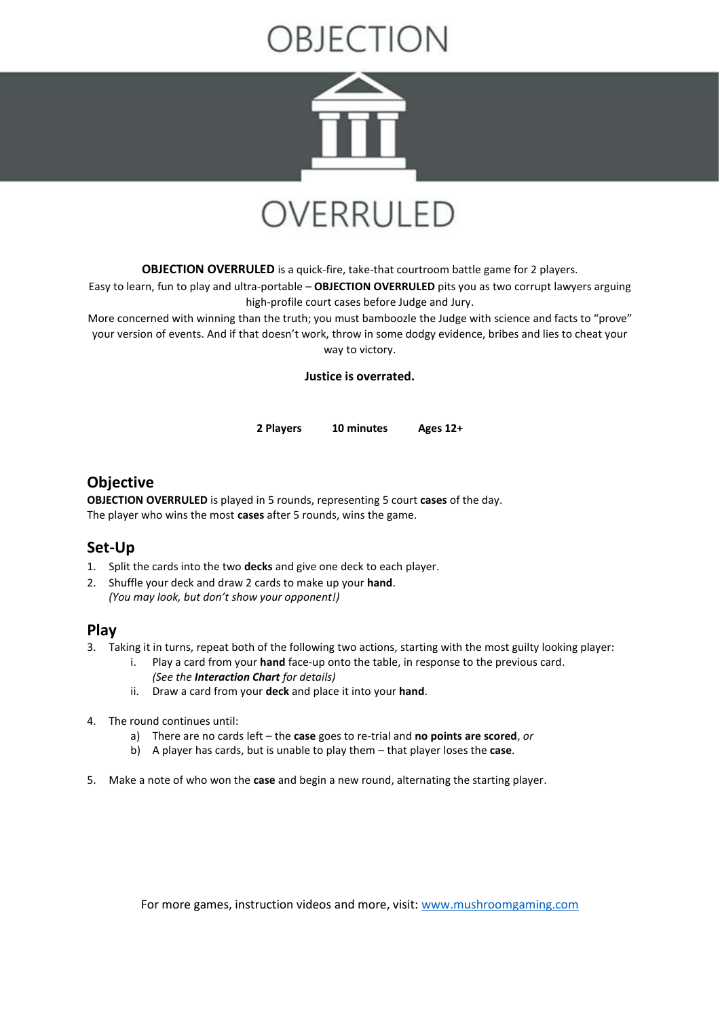# **JECTION**



## OVERRULED

**OBJECTION OVERRULED** is a quick-fire, take-that courtroom battle game for 2 players.

Easy to learn, fun to play and ultra-portable – **OBJECTION OVERRULED** pits you as two corrupt lawyers arguing high-profile court cases before Judge and Jury.

More concerned with winning than the truth; you must bamboozle the Judge with science and facts to "prove" your version of events. And if that doesn't work, throw in some dodgy evidence, bribes and lies to cheat your way to victory.

**Justice is overrated.**

**2 Players 10 minutes Ages 12+**

### **Objective**

**OBJECTION OVERRULED** is played in 5 rounds, representing 5 court **cases** of the day. The player who wins the most **cases** after 5 rounds, wins the game.

#### **Set-Up**

- 1. Split the cards into the two **decks** and give one deck to each player.
- 2. Shuffle your deck and draw 2 cards to make up your **hand**. *(You may look, but don't show your opponent!)*

#### **Play**

- 3. Taking it in turns, repeat both of the following two actions, starting with the most guilty looking player:
	- i. Play a card from your **hand** face-up onto the table, in response to the previous card. *(See the Interaction Chart for details)*
	- ii. Draw a card from your **deck** and place it into your **hand**.
- 4. The round continues until:
	- a) There are no cards left the **case** goes to re-trial and **no points are scored**, *or*
	- b) A player has cards, but is unable to play them that player loses the **case**.
- 5. Make a note of who won the **case** and begin a new round, alternating the starting player.

For more games, instruction videos and more, visit: [www.mushroomgaming.com](http://www.mushroomgaming.com/)